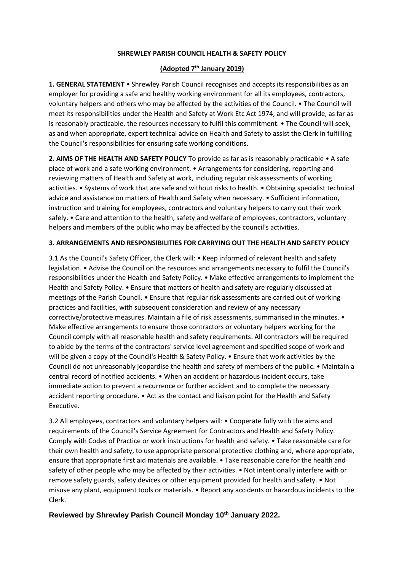## **SHREWLEY PARISH COUNCIL HEALTH & SAFETY POLICY**

## **(Adopted 7th January 2019)**

**1. GENERAL STATEMENT** • Shrewley Parish Council recognises and accepts its responsibilities as an employer for providing a safe and healthy working environment for all its employees, contractors, voluntary helpers and others who may be affected by the activities of the Council. • The Council will meet its responsibilities under the Health and Safety at Work Etc Act 1974, and will provide, as far as is reasonably practicable, the resources necessary to fulfil this commitment. • The Council will seek, as and when appropriate, expert technical advice on Health and Safety to assist the Clerk in fulfilling the Council's responsibilities for ensuring safe working conditions.

**2. AIMS OF THE HEALTH AND SAFETY POLICY** To provide as far as is reasonably practicable • A safe place of work and a safe working environment. • Arrangements for considering, reporting and reviewing matters of Health and Safety at work, including regular risk assessments of working activities. • Systems of work that are safe and without risks to health. • Obtaining specialist technical advice and assistance on matters of Health and Safety when necessary. • Sufficient information, instruction and training for employees, contractors and voluntary helpers to carry out their work safely. • Care and attention to the health, safety and welfare of employees, contractors, voluntary helpers and members of the public who may be affected by the council's activities.

## **3. ARRANGEMENTS AND RESPONSIBILITIES FOR CARRYING OUT THE HEALTH AND SAFETY POLICY**

3.1 As the Council's Safety Officer, the Clerk will: • Keep informed of relevant health and safety legislation. • Advise the Council on the resources and arrangements necessary to fulfil the Council's responsibilities under the Health and Safety Policy. • Make effective arrangements to implement the Health and Safety Policy. • Ensure that matters of health and safety are regularly discussed at meetings of the Parish Council. • Ensure that regular risk assessments are carried out of working practices and facilities, with subsequent consideration and review of any necessary corrective/protective measures. Maintain a file of risk assessments, summarised in the minutes. • Make effective arrangements to ensure those contractors or voluntary helpers working for the Council comply with all reasonable health and safety requirements. All contractors will be required to abide by the terms of the contractors' service level agreement and specified scope of work and will be given a copy of the Council's Health & Safety Policy. • Ensure that work activities by the Council do not unreasonably jeopardise the health and safety of members of the public. • Maintain a central record of notified accidents. • When an accident or hazardous incident occurs, take immediate action to prevent a recurrence or further accident and to complete the necessary accident reporting procedure. • Act as the contact and liaison point for the Health and Safety Executive.

3.2 All employees, contractors and voluntary helpers will: • Cooperate fully with the aims and requirements of the Council's Service Agreement for Contractors and Health and Safety Policy. Comply with Codes of Practice or work instructions for health and safety. • Take reasonable care for their own health and safety, to use appropriate personal protective clothing and, where appropriate, ensure that appropriate first aid materials are available. • Take reasonable care for the health and safety of other people who may be affected by their activities. • Not intentionally interfere with or remove safety guards, safety devices or other equipment provided for health and safety. • Not misuse any plant, equipment tools or materials. • Report any accidents or hazardous incidents to the Clerk.

## **Reviewed by Shrewley Parish Council Monday 10 th January 2022.**